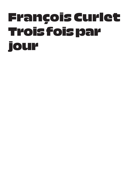# François Curlet Trois fois par jour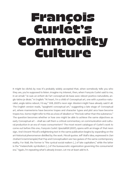## François Curlet's Commodity Culture

It might be cliché; by now it's probably widely accepted that, when somebody tells you who they are, you're supposed to listen. Imagine my interest, then, when François Curlet said to me, in an email: "Je suis un enfant de l'art conceptuel de base avec reboot poetico-naturaliste, anglo-latino je dirais." In English: "At heart, I'm a child of Conceptual art, one with a poetico-naturalist, anglo-latino reboot, I'd say." Still, 2005's neon sign Western might have already said it all. The English version reads, "spaghetti conceptual art," suggesting a late stage of Conceptual art, where mannerisms have become tropes and character types and plot arcs have become tropes too. Some might refer to this as a loss of idealism or "the look rather than the substance." The question becomes whether or how one might be able to achieve the same objectives as early Conceptual art – shall we call them a critical commentary on communication and cultural production in an era of mass-consumerism? The most recent catalogue of Curlet's work to come out before this one, François Curlet: Spezialität (2007), opens with an image of that neon sign. And Vincent Pécoil's enlightening text in the same publication begins by expanding on the art-historical phenomenon distilled by the work. Pécoil quotes Jeff Wall's idea, expressed in Dan Graham's Kammerspiel, that Pop and Conceptualism are two guises of the same contemporary reality. For Wall, the former is "the cynical social realism […] of late capitalism," while the latter is the "melancholic symbolism […] of the bureaucratic organization governing the consumerist era." Again, I'm repeating what's already known. Let me at least add to it.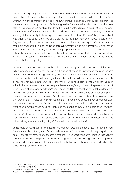Curlet's neon sign appears to be a commonplace in the context of his work. It was also one of two or three of his works that he arranged for me to see in person when I visited him in Paris. Over lunch in the apartment of a friend of his, where the sign hangs, Curlet suggested that "the trademark is a contemporary still life, but aggressive." And we talked about an artwork whose title, in English, means "registered trademark:" John Knight's Marque deposée (1989). The work takes the form of a poster and looks like an advertisement produced en masse by the tourist industry. But in actuality, it shows a photo Knight took of the Roger Pailhas Gallery in Marseille. It was Knight's idea to put the name of the city at the top in red, italicized, Helvetica Bold letters. Only one copy of the poster was printed, for an exhibition at the gallery in 1989. As Anne Rorimer explains, the work "functions like an actual, promotional sign but, furthermore, presents an image of its own site of display in the chic shopping district of Marseille." 1 So the work looks closely at the commercial aspect or potential of art, while also casting itself in that image. Believe it or not, Curlet says, he visited the exhibition. An art student in Grenoble at the time, he traveled to Marseille for the opening.

At times, Curlet's artworks take on the guise of advertising, or tourism, or commodities generally speaking. In doing so, they follow in a tradition of trying to understand the mechanisms of commercialism, indicating how they function in our world today, perhaps also re-using those mechanisms – in part in recognition of the fact that art functions under similar conditions. Thus, for 2007's eBay, Curlet screenprinted four paint splotches onto white canvas, each splotch the same color as each subsequent letter in eBay's logo. The work speaks to a kind of unconscious of commodity culture. When I mentioned this formulation to Curlet's gallerist Florence Bonnefous, of Air de Paris, she compared Curlet's method to a kind of "Freudian slip" within mass-consumer culture, or to wit. Curlet himself says the logic of his work is more Lacanian, a reverberation of analogies. In the predominantly francophone context in which Curlet's work circulates, others would opt for the term détournement. I wanted to make sure I understood what people mean by that word, so I looked up the definition in 1958's Internationale Situationniste #1. But it's somewhat confusing. Basically, it describes the use of "preexisting aesthetic elements."2 It doesn't talk about specific ways in which they should be used or combined or manipulated, nor what the outcome should be; what that method should reveal. Truth? The universalizing aura surrounding things? Their nature as constructions?

Some more context: Back at the apartment, Curlet showed me a book that his friend owned, Guy-Ernest Debord & Asger Jorn's 1959 collaboration *Mémoires*. As the title page explains, the book "consists entirely of prefabricated elements" – lines of text and some images that Debord had cut out of the newspaper3 . Complementing these are "supporting structures" – painted lines and drips and blots that draw connections between the fragments of text, while also constituting figures of their own.

<sup>1.</sup> Anne Rorimer, "John Knight: Designating the Site" (1989), reprinted in John Knight, ed. André Rottmann (Cambridge, MA: MIT Press, 2014), p. 16.

<sup>2.</sup> Online at: https://www.cddc.vt.edu/sionline///si/definitions.html.

<sup>3.</sup> Guy-Ernest Debord and Asger Jorn, Mémoires (Paris: L'Internationale Situationniste, 1959), unpaginated.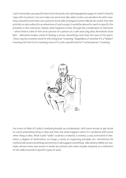I can't remember any specific lines from the book, but I photographed a page of Curlet's friend's copy with my phone. You can make out some text, like: aider à créer une situation (to aid in creating a situation) and Dans une aventure d'une telle envergure il serait ridicule de vouloir fixer des priorités ou des suites (On an adventure of such scope, it would be absurd to want to specify the priorities or the outcome). Clearly, what happens is that, through the combination of elements – when there's a line of text and a picture of a person at a cafe and a big, blue, Rorschach-style blot - Mémoires evokes a kind of feeling, a sense, something more than the sum of the parts. There may be no better word for this thing than "meaning." Regardless of whether it's a "hidden" meaning, the fact is it's meaning; more of it, and a specific kind of "contemporary" meaning.



I've come to think of Curlet's method primarily as combination. He'll come across or get stuck on some preexisting thing or idea and then see what happens when it's combined with some other thing or idea. What Curlet "adds" could be a material, a context, a use, some kind of alteration, a degree of abstraction, an image, a word, an organizing principle, etc. Sometimes his method will reveal something; sometimes it will suggest something. Take Moteur (1989), for example, whose motor was woven in wicker by artisans who were visually impaired, as a reflection on the skills involved in specific types of work.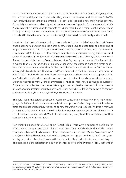Or the black-and-white image of a gear printed on the umbrellas of *Clockwork* (1998), suggesting the interpersonal dynamics of people bustling around on a busy sidewalk in the rain. Or 2008's Fair Trade, which consists of an embroidered Fair Trade logo and a net, implying the potential for socially conscious modes of production to act as a selling point for customers. Or 2018's  $X-Rav$ , in which a suitcase and its contents have been reproduced in translucent glass, as if seen through an X-ray machine, thus referencing the contemporary state of security and surveillance as well as the idea that material possessions might be a corollary for identity, an inner self.

I can't help but think of these combinations in relation to the model of metaphor that Borges traced back to Old English and Old Norse poetry. People love to quote from the beginning of Borges's 1967 lecture The Metaphor, in which he cites the ancient Chinese idea that the world consists of 10,000 things – but then Borges describes metaphors as turning their number of potential meanings into a factorial: "10,000 multiplied by 9,999, multiplied by 9,998, and so on."4 Toward the end of the lecture, Borges discusses kennings, compound nouns often formed with a hyphen that Old English and Old Norse literature sometimes used in place of a single noun – as a kind of paraphrase, ostensibly for their associative potential. He cites the "very common kenning which calls the sea 'the whale road." And he wonders whether the person who came up with it "felt […] that the hugeness of the whale suggested and emphasized the hugeness of the sea," which it certainly does. In a similar way, you could think of the abovementioned works by Curlet as "the wicker-motor," "the gear-umbrellas," "the Fair Trade–net," and "the glass-suitcase." I'm pretty sure Curlet felt that these works suggest and emphasize themes such as work, social interaction, consumption, security, and travel. Other works by Curlet do the same with themes such as advertising, bureaucracy, identity, animals, and the media.

The quick list in the paragraph above of works by Curlet also indicates how they relate to language. Curlet's works almost necessitate brief descriptions of what they represent, how he altered the objects or ideas they represent, or how the works were produced. And yet, it may well be the case that when the works are described, any subsequent analysis is bound to come off as self-evident, even spoilsport. Would it take something away from the works to explain their connection to jokes or one-liners?

Now might be a good time to talk about Robert Filliou. There were a number of books on the artist back at the apartment, but I didn't look at them. Only later did I learn that Curlet owns a complete collection of Filliou's multiples. So I checked out the book Robert Filliou: éditions & multiples, published by Les presses du réel in 2003, and on page seven I found a brief text by Curlet: "My interest in this collection of multiples," he writes, "has to do with its principle of ubiquity. The collection is the reflection of a part of the traces left behind by Robert Filliou, rather than

<sup>4.</sup> Jorge Luis Borges, "The Metaphor," in This Craft of Verse (Cambridge, MA: Harvard University Press, 2002), p. 21-2; for kenning, see page 37. Online in two parts at: https://www.youtube.com/watch?v=MBO\_rp3k6yk and https://www. youtube.com/watch?v=vL\_86Ckp1E0.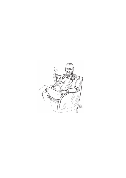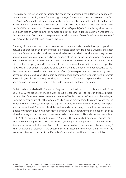The main work involved was collapsing the space that separated the editions from one another and then organizing them."<sup>5</sup> A few pages later, we're told that in 1962 Filliou created *Galerie* Légitime, an "itinerant" exhibition space in the form of a hat. The artist would fill the hat with artworks, wear it, and offer to show the works to people on the street. Another, later work - Eins, Un, One (1984) – consists of 100 examples (and 50 artist's proofs) of a  $3 \times 3 \times 3$  cm yellow, wooden dice, each side of which shows the number one. Is this "one"-sided-dice a riff on Broodthaers' famous homage (from 1969) to Stéphane Mallarmé's Un coup de dés jamais n'abolira le hasard (A Throw of the Dice Will Never Abolish Chance)?

Speaking of chance versus predetermination: Given late capitalism's fully developed, globalized networks of production and consumption, experience can seem like it has a universal character. But Curlet's works can also, at times, be local. In his 2008 exhibition at Air de Paris, Peptember, several references were French. And in reproducing old advertisements, some works suggested a degree of nostalgia. Pschitt 1956 and Pschitt 1958 (both 2008) consist of silk scarves printed with ads for the eponymous Perrier product from the years referenced in the works' respective titles. Within that period, the drawing style seen in the ads changed from conservative to modern. Another work also included drawing: Profiteur! (2008) reproduced an illustration by French cartoonist Jean-Marc Reiser in his iconic, caricatural style. These works reflect Curlet's interest in advertising, media, and drawing, but they do so through references to a product I had to look up and a person whose name I – admittedly – didn't know off the top of my head.

Curlet was born and raised in France, not Belgium, but he has lived most of his adult life in Brussels. In 2010, the artist even made a work about a local serial killer for an exhibition at Établissement d'en face, in Brussels. He made a series of birdhouses out of wood that he salvaged from the former house of Father András Pándy. "Like so many altars," the press release for the exhibition read, morbidly, the sculptures explore the possibility that the material itself could possess or transmit evil. The idea behind the works recalls the stories you hear that such-and-such a mass murderer's house was demolished and buried in a secret, unmarked location—as if its wickedness might infect others, or people would come to treat it like a shrine. Two years later, in 2012, at the gallery Micheline Szwajcer in Antwerp, Curlet reworked laminated Formica tabletops with a related procedure. He shaped them, among other things, into the logos of various discount supermarkets: Lidl, Aldi, Dia, etc. In so doing, he drew a connection between "vintage" (the furniture) and "discount" (the supermarkets). In these Formica-logos, the afterlife of the materials is framed in terms of the life cycle of second-hand and low-cost commodities.

<sup>5.</sup> François Curlet, "peopleday®," in Robert Filliou: éditions & multiples (Dijon: Les presses du réel, 2003), p. 7. In 2011, Curlet organized a group show «Bob and Breakfast» at Galerie Nelson-Freeman in Paris featuring Filliou's multiples alongside the work of contemporary artists.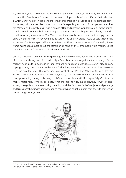If you wanted, you could apply the logic of compound metaphors, or kennings, to Curlet's exhibition at the Grand-Hornu<sup>6</sup>, You could do so on multiple levels. After all, it's the first exhibition in which Curlet has given equal weight to the three areas of his output: objects-paintings-films. Of course, paintings are objects too, and Curlet's especially so. Each of the Speculoos, Chipster, Waffles, and Cupcake paintings is named after and perhaps even looks a bit like the corresponding snack. He stenciled them using scrap metal––industrially produced plates, each with a pattern of negative spaces. The Waffle paintings have been spray-painted to imply shallow depths within a kind of honeycomb grid structure; the Chipster stencil could be said to resemble a number of potato chips in silhouette. In terms of the commercial aspect of our reality, these works might speak most about the status of painting on the contemporary art market. Curlet describes them as "ectoplasms of industrial production."

Curlet's films aren't objects. But the paintings and the films have something in common. I think of the latter as being kind of like video clips. Each illustrates a single idea. And although it's apparently possible to upload feature-length videos on YouTube (as long as you aren't breaking any copyright laws), most videos on there aren't that long. I feel like most YouTube videos are oneto-seven minutes long––the same length as most of Curlet's films. Whether Curlet's films are like clips or not leads us back to terminology, and by that I mean the subtext of literary devices or concepts running through this essay: clichés, commonplaces, still lifes, signs, "slips," détournements, metaphors, symbols, jokes, etc. What are these things? In a sense, they're ways of classifying or organizing or even eliciting meaning. And the fact that Curlet's objects and paintings and films somehow invite comparisons to these things might suggest that they do something similar––organizing, eliciting.



6. Crésus et Crusoé, MAC's, Grand Hornu, November 25, 2018 - March 10, 2019. Catalogue ed. Triangle Books, Brussels, ISBN 978-2-930777-27-6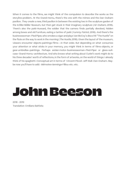When it comes to the films, we might think of the compulsion to describe the works as the storyline-problem. At the Grand-Hornu, there's the one with the mimes and the Dan Graham pavilion. They create a new, third pavilion in between the existing two in the sculpture garden of the Kröller-Müller Museum, but then get stuck in their imaginary sculpture (Air Graham, 2018). There's also the paté-Hussard, the soldier that the camera finds partially disrobed, hidden among boxes and old furniture, eating a tartine of paté (Yummy Patriot, 2018). And there's the businesswoman–Pied Piper, who smokes a cigar and plays Van McCoy's disco hit "The Hustle" on the flute on the way to work in the morning (*The Hustle*, 2018). Given the layout of the museum, viewers encounter objects-paintings-films––in that order. But depending on what consumes your attention or what sticks in your memory, you might think in terms of films-objects, or gear-umbrellas–paintings. Perhaps wicker-motor–businesswoman–Pied-Piper or glass-suitcase–Grand-Hornu–architecture. And who knows what writing about Curlet's work might do to his three decades' worth of reflections, in the form of artworks, on the world of things: I already think of his spaghetti–Conceptual-art in terms of -Vincent-Pécoil–Jeff-Wall–Dan-Graham. Maybe now you'll have to add: - Mémoires-kennings-Filliou-etc.-etc.

### John Beeson

2018 - 2019 Translation Emiliano Battista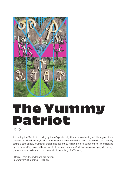

### The Yummy Patriot 2018

It is during the March of the King by Jean-Baptiste Lully that a hussar having left his regiment appears to us. The deserter, hidden by the army, seems to take immense pleasure in gluttonously eating a pâté sandwich. Rather than being caught by his hierarchical superiors, he is confronted by the public. Playing with the concept of laziness, François Curlet once again displays his struggle for a space dedicated to laziness within a society of efficiency.

HD film, 1 min 47 sec, looped projection Poster by M/M (Paris) 175 x 118,5 cm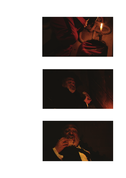



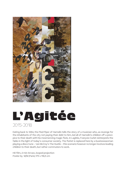

### L'Agitée 2015-2018

Dating back to 1284, the Pied Piper of Hamelin tells the story of a musician who, as revenge for the inhabitants of the city not paying their debt to him, led all of Hamelin's children off a precipice to their death with his mesmerizing magic flute. In Lagitée, François Curlet reinterprets the fable in the light of today's consumer society. The flutist is replaced here by a businesswoman playing a disco tune – Van McCoy's The Hustle – this scenario however no longer involves leading children to their death, but rather commuters to work.

HD film, 2 min 34 sec, looped projection Poster by M/M (Paris) 175 x 118,5 cm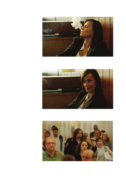



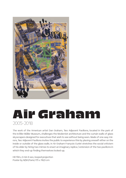

#### Air Graham 2005-2018

The work of the American artist Dan Graham, Two Adjacent Pavilions, located in the park of the Kröller-Müller Museum, challenges the Modernist architecture and the curtain walls of glass skyscrapers designed for executives that wish to see without being seen. Made of one-way mirrors, Two Adjacent Pavilions invites the public to experience this by placing oneself either on the inside or outside of the glass walls. In Air Graham François Curlet stretches the social criticism of his elder by hiring two mimes to enact an imaginary replica / extension of the two pavilions in which they end-up finding themselves locked-up.

HD film, 2 min 6 sec, looped projection Poster by M/M (Paris) 175 x 118,5 cm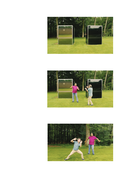



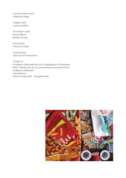Yummy Patriot with: Stéphane Roger

L'Agitée with: Laurence Bibot

Air Graham with: Bruce Ellison Michel Carcan

Directed by François Curlet

Produced by Altitude 100 Production

Thanks to Fondation Nationale des Arts Graphiques et Plastiques MAC's Musée des arts contemporains du Grand Hornu Guillaume Malandrin John Beeson Olivier Vandervliet - Triangle Books